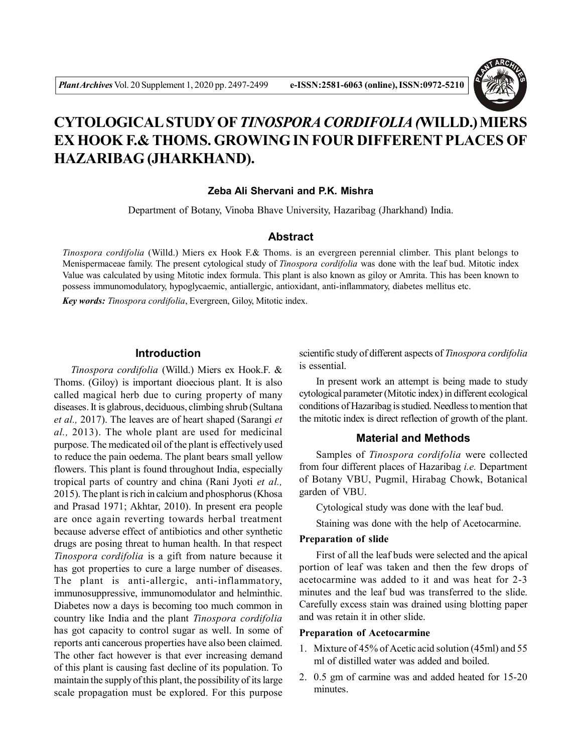

# **CYTOLOGICAL STUDY OF** *TINOSPORA CORDIFOLIA (***WILLD.) MIERS EX HOOK F.& THOMS. GROWING IN FOUR DIFFERENT PLACES OF HAZARIBAG (JHARKHAND).**

#### **Zeba Ali Shervani and P.K. Mishra**

Department of Botany, Vinoba Bhave University, Hazaribag (Jharkhand) India.

#### **Abstract**

*Tinospora cordifolia* (Willd.) Miers ex Hook F.& Thoms. is an evergreen perennial climber. This plant belongs to Menispermaceae family. The present cytological study of *Tinospora cordifolia* was done with the leaf bud. Mitotic index Value was calculated by using Mitotic index formula. This plant is also known as giloy or Amrita. This has been known to possess immunomodulatory, hypoglycaemic, antiallergic, antioxidant, anti-inflammatory, diabetes mellitus etc.

*Key words: Tinospora cordifolia*, Evergreen, Giloy, Mitotic index.

#### **Introduction**

*Tinospora cordifolia* (Willd.) Miers ex Hook.F. & Thoms. (Giloy) is important dioecious plant. It is also called magical herb due to curing property of many diseases. It is glabrous, deciduous, climbing shrub (Sultana *et al.,* 2017). The leaves are of heart shaped (Sarangi *et al.,* 2013). The whole plant are used for medicinal purpose. The medicated oil of the plant is effectively used to reduce the pain oedema. The plant bears small yellow flowers. This plant is found throughout India, especially tropical parts of country and china (Rani Jyoti *et al.,* 2015). The plant is rich in calcium and phosphorus (Khosa and Prasad 1971; Akhtar, 2010). In present era people are once again reverting towards herbal treatment because adverse effect of antibiotics and other synthetic drugs are posing threat to human health. In that respect *Tinospora cordifolia* is a gift from nature because it has got properties to cure a large number of diseases. The plant is anti-allergic, anti-inflammatory, immunosuppressive, immunomodulator and helminthic. Diabetes now a days is becoming too much common in country like India and the plant *Tinospora cordifolia* has got capacity to control sugar as well. In some of reports anti cancerous properties have also been claimed. The other fact however is that ever increasing demand of this plant is causing fast decline of its population. To maintain the supply of this plant, the possibility of its large scale propagation must be explored. For this purpose

scientific study of different aspects of *Tinospora cordifolia* is essential.

In present work an attempt is being made to study cytological parameter (Mitotic index) in different ecological conditions of Hazaribag is studied. Needless to mention that the mitotic index is direct reflection of growth of the plant.

### **Material and Methods**

Samples of *Tinospora cordifolia* were collected from four different places of Hazaribag *i.e.* Department of Botany VBU, Pugmil, Hirabag Chowk, Botanical garden of VBU.

Cytological study was done with the leaf bud.

Staining was done with the help of Acetocarmine.

#### **Preparation of slide**

First of all the leaf buds were selected and the apical portion of leaf was taken and then the few drops of acetocarmine was added to it and was heat for 2-3 minutes and the leaf bud was transferred to the slide. Carefully excess stain was drained using blotting paper and was retain it in other slide.

#### **Preparation of Acetocarmine**

- 1. Mixture of 45% of Acetic acid solution (45ml) and 55 ml of distilled water was added and boiled.
- 2. 0.5 gm of carmine was and added heated for 15-20 minutes.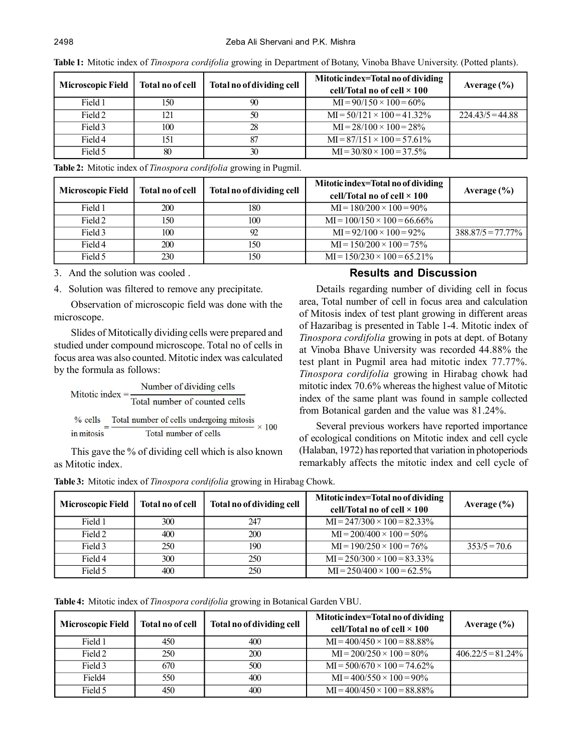| <b>Microscopic Field</b> | Total no of cell | Total no of dividing cell | Mitotic index=Total no of dividing<br>cell/Total no of cell $\times$ 100 | Average $(\% )$    |
|--------------------------|------------------|---------------------------|--------------------------------------------------------------------------|--------------------|
| Field 1                  | 150              |                           | $MI = 90/150 \times 100 = 60\%$                                          |                    |
| Field 2                  | 121              |                           | $MI = 50/121 \times 100 = 41.32\%$                                       | $224.43/5 = 44.88$ |
| Field 3                  | 100              | 28                        | $MI = 28/100 \times 100 = 28\%$                                          |                    |
| Field 4                  | 151              |                           | $MI = 87/151 \times 100 = 57.61\%$                                       |                    |
| Field 5                  | 80               | 30                        | $MI = 30/80 \times 100 = 37.5\%$                                         |                    |

**Table 1:** Mitotic index of *Tinospora cordifolia* growing in Department of Botany, Vinoba Bhave University. (Potted plants).

**Table 2:** Mitotic index of *Tinospora cordifolia* growing in Pugmil.

| <b>Microscopic Field</b> | Total no of cell | Total no of dividing cell | Mitotic index=Total no of dividing<br>cell/Total no of cell $\times$ 100 | Average $(\% )$      |
|--------------------------|------------------|---------------------------|--------------------------------------------------------------------------|----------------------|
| Field 1                  | 200              | 180                       | $MI = 180/200 \times 100 = 90\%$                                         |                      |
| Field 2                  | 150              | 100                       | $MI = 100/150 \times 100 = 66.66\%$                                      |                      |
| Field 3                  | 100              | 92                        | $MI = 92/100 \times 100 = 92\%$                                          | $388.87/5 = 77.77\%$ |
| Field 4                  | 200              | 150                       | $MI = 150/200 \times 100 = 75\%$                                         |                      |
| Field 5                  | 230              | 150                       | $MI = 150/230 \times 100 = 65.21\%$                                      |                      |

3. And the solution was cooled .

4. Solution was filtered to remove any precipitate.

Observation of microscopic field was done with the microscope.

Slides of Mitotically dividing cells were prepared and studied under compound microscope. Total no of cells in focus area was also counted. Mitotic index was calculated by the formula as follows:

Mitotic index = 
$$
\frac{\text{Number of dividing cells}}{\text{Total number of counted cells}}
$$

\n% cells =  $\frac{\text{Total number of cells undergoing mitosis}}{\text{Total number of cells}} \times 100$ 

This gave the % of dividing cell which is also known as Mitotic index.

# **Results and Discussion**

Details regarding number of dividing cell in focus area, Total number of cell in focus area and calculation of Mitosis index of test plant growing in different areas of Hazaribag is presented in Table 1-4. Mitotic index of *Tinospora cordifolia* growing in pots at dept. of Botany at Vinoba Bhave University was recorded 44.88% the test plant in Pugmil area had mitotic index 77.77%. *Tinospora cordifolia* growing in Hirabag chowk had mitotic index 70.6% whereas the highest value of Mitotic index of the same plant was found in sample collected from Botanical garden and the value was 81.24%.

Several previous workers have reported importance of ecological conditions on Mitotic index and cell cycle (Halaban, 1972) has reported that variation in photoperiods remarkably affects the mitotic index and cell cycle of

| Table 3: Mitotic index of Tinospora cordifolia growing in Hirabag Chowk. |  |
|--------------------------------------------------------------------------|--|
|--------------------------------------------------------------------------|--|

| <b>Microscopic Field</b> | <b>Total no of cell</b> | Total no of dividing cell | Mitotic index=Total no of dividing<br>cell/Total no of cell $\times$ 100 | Average $(\% )$ |
|--------------------------|-------------------------|---------------------------|--------------------------------------------------------------------------|-----------------|
| Field 1                  | 300                     | 247                       | $MI = 247/300 \times 100 = 82.33\%$                                      |                 |
| Field 2                  | 400                     | 200                       | $MI = 200/400 \times 100 = 50\%$                                         |                 |
| Field 3                  | 250                     | 190                       | $MI = 190/250 \times 100 = 76\%$                                         | $353/5 = 70.6$  |
| Field 4                  | 300                     | 250                       | $MI = 250/300 \times 100 = 83.33\%$                                      |                 |
| Field 5                  | 400                     | 250                       | $MI = 250/400 \times 100 = 62.5\%$                                       |                 |

**Table 4:** Mitotic index of *Tinospora cordifolia* growing in Botanical Garden VBU.

| <b>Microscopic Field</b> | <b>Total no of cell</b> | Total no of dividing cell | Mitotic index=Total no of dividing<br>cell/Total no of cell $\times$ 100 | Average $(\% )$      |
|--------------------------|-------------------------|---------------------------|--------------------------------------------------------------------------|----------------------|
| Field 1                  | 450                     | 400                       | $MI = 400/450 \times 100 = 88.88\%$                                      |                      |
| Field 2                  | 250                     | 200                       | $MI = 200/250 \times 100 = 80\%$                                         | $406.22/5 = 81.24\%$ |
| Field 3                  | 670                     | 500                       | $MI = 500/670 \times 100 = 74.62\%$                                      |                      |
| Field4                   | 550                     | 400                       | $MI = 400/550 \times 100 = 90\%$                                         |                      |
| Field 5                  | 450                     | 400                       | $MI = 400/450 \times 100 = 88.88\%$                                      |                      |